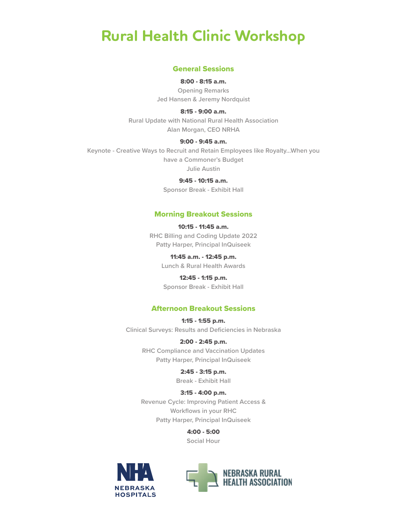## **Rural Health Clinic Workshop**

#### General Sessions

8:00 - 8:15 a.m. **Opening Remarks**

**Jed Hansen & Jeremy Nordquist**

8:15 - 9:00 a.m.

**Rural Update with National Rural Health Association Alan Morgan, CEO NRHA**

#### 9:00 - 9:45 a.m.

**Keynote - Creative Ways to Recruit and Retain Employees like Royalty...When you have a Commoner's Budget Julie Austin**

9:45 - 10:15 a.m.

**Sponsor Break - Exhibit Hall**

#### Morning Breakout Sessions

10:15 - 11:45 a.m. **RHC Billing and Coding Update 2022 Patty Harper, Principal InQuiseek**

> 11:45 a.m. - 12:45 p.m. **Lunch & Rural Health Awards**

12:45 - 1:15 p.m. **Sponsor Break - Exhibit Hall**

#### Afternoon Breakout Sessions

1:15 - 1:55 p.m. **Clinical Surveys: Results and Deficiencies in Nebraska**

> 2:00 - 2:45 p.m. **RHC Compliance and Vaccination Updates Patty Harper, Principal InQuiseek**

> > 2:45 - 3:15 p.m. **Break - Exhibit Hall**

3:15 - 4:00 p.m. **Revenue Cycle: Improving Patient Access & Workflows in your RHC Patty Harper, Principal InQuiseek**

> 4:00 - 5:00 **Social Hour**